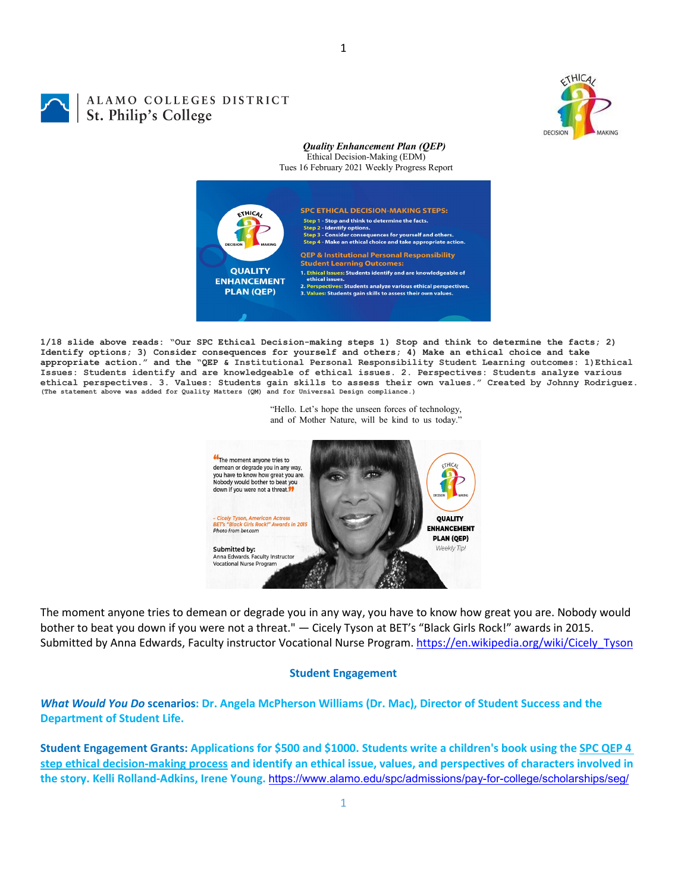

# ALAMO COLLEGES DISTRICT St. Philip's College

### *Quality Enhancement Plan (QEP)* Ethical Decision-Making (EDM)

Tues 16 February 2021 Weekly Progress Report



**1/18 slide above reads: "Our SPC Ethical Decision-making steps 1) Stop and think to determine the facts; 2) Identify options; 3) Consider consequences for yourself and others; 4) Make an ethical choice and take appropriate action." and the "QEP & Institutional Personal Responsibility Student Learning outcomes: 1)Ethical Issues: Students identify and are knowledgeable of ethical issues. 2. Perspectives: Students analyze various**  ethical perspectives. 3. Values: Students gain skills to assess their own values." Created by Johnny Rodriguez.<br>(The statement above was added for Quality Matters (QM) and for Universal Design compliance.)

> "Hello. Let's hope the unseen forces of technology, and of Mother Nature, will be kind to us today."



The moment anyone tries to demean or degrade you in any way, you have to know how great you are. Nobody would bother to beat you down if you were not a threat." — Cicely Tyson at BET's "Black Girls Rock!" awards in 2015. Submitted by Anna Edwards, Faculty instructor Vocational Nurse Program. [https://en.wikipedia.org/wiki/Cicely\\_Tyson](https://en.wikipedia.org/wiki/Cicely_Tyson)

## **Student Engagement**

# *What Would You Do* **scenarios: Dr. Angela McPherson Williams (Dr. Mac), Director of Student Success and the Department of Student Life.**

**Student Engagement Grants: Applications for \$500 and \$1000. Students write a children's book using the [SPC QEP 4](https://mail.alamo.edu/owa/redir.aspx?REF=QPGGgOE-3HbbrbCAzqBFQWbtY3e2Gc0f0qSFld99-4hqZWSPr8DYCAFodHRwczovL3d3dy5hbGFtby5lZHUvbGluay8zYjg5NjQxMTY3MGY0YTZlYjU2MzNkNGFmNjE1OTBjNC5hc3B4)  [step ethical decision-making process](https://mail.alamo.edu/owa/redir.aspx?REF=QPGGgOE-3HbbrbCAzqBFQWbtY3e2Gc0f0qSFld99-4hqZWSPr8DYCAFodHRwczovL3d3dy5hbGFtby5lZHUvbGluay8zYjg5NjQxMTY3MGY0YTZlYjU2MzNkNGFmNjE1OTBjNC5hc3B4) and identify an ethical issue, values, and perspectives of characters involved in the story. Kelli Rolland-Adkins, Irene Young.** <https://www.alamo.edu/spc/admissions/pay-for-college/scholarships/seg/>